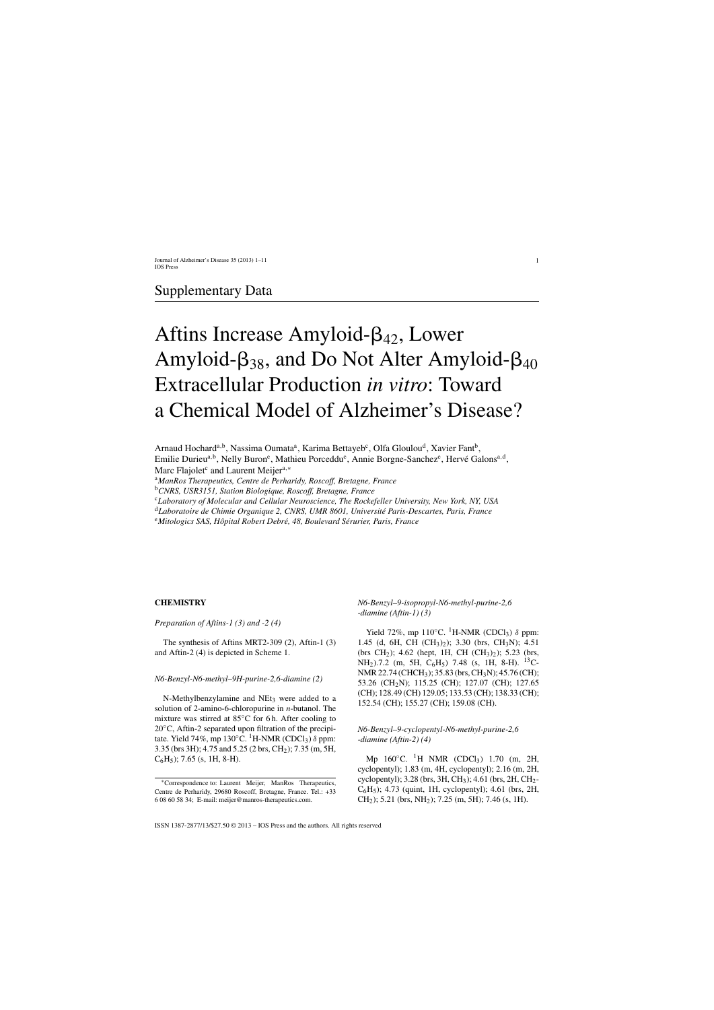## Supplementary Data

# Aftins Increase Amyloid- $\beta_{42}$ , Lower Amyloid- $\beta_{38}$ , and Do Not Alter Amyloid- $\beta_{40}$ Extracellular Production *in vitro*: Toward a Chemical Model of Alzheimer's Disease?

Arnaud Hochard<sup>a,b</sup>, Nassima Oumata<sup>a</sup>, Karima Bettayeb<sup>c</sup>, Olfa Gloulou<sup>d</sup>, Xavier Fant<sup>b</sup>, Emilie Durieu<sup>a,b</sup>, Nelly Buron<sup>e</sup>, Mathieu Porceddu<sup>e</sup>, Annie Borgne-Sanchez<sup>e</sup>, Hervé Galons<sup>a,d</sup>, Marc Flajolet<sup>c</sup> and Laurent Meijer<sup>a,\*</sup>

<sup>a</sup>*ManRos Therapeutics, Centre de Perharidy, Roscoff, Bretagne, France*

<sup>b</sup>*CNRS, USR3151, Station Biologique, Roscoff, Bretagne, France*

<sup>c</sup>*Laboratory of Molecular and Cellular Neuroscience, The Rockefeller University, New York, NY, USA*

<sup>d</sup>*Laboratoire de Chimie Organique 2, CNRS, UMR 8601, Universit´e Paris-Descartes, Paris, France*

<sup>e</sup>Mitologics SAS, Hôpital Robert Debré, 48, Boulevard Sérurier, Paris, France

## **CHEMISTRY**

*Preparation of Aftins-1 (3) and -2 (4)*

The synthesis of Aftins MRT2-309 (2), Aftin-1 (3) and Aftin-2 (4) is depicted in Scheme 1.

## *N6-Benzyl-N6-methyl–9H-purine-2,6-diamine (2)*

N-Methylbenzylamine and NEt<sub>3</sub> were added to a solution of 2-amino-6-chloropurine in *n*-butanol. The mixture was stirred at 85◦C for 6 h. After cooling to  $20^{\circ}$ C, Aftin-2 separated upon filtration of the precipitate. Yield 74%, mp  $130^{\circ}$ C. <sup>1</sup>H-NMR (CDCl<sub>3</sub>)  $\delta$  ppm: 3.35 (brs 3H); 4.75 and 5.25 (2 brs, CH2); 7.35 (m, 5H,  $C_6H_5$ ; 7.65 (s, 1H, 8-H).

*N6-Benzyl–9-isopropyl-N6-methyl-purine-2,6 -diamine (Aftin-1) (3)*

Yield 72%, mp 110 $^{\circ}$ C. <sup>1</sup>H-NMR (CDCl<sub>3</sub>)  $\delta$  ppm: 1.45 (d, 6H, CH  $(CH_3)_{2}$ ); 3.30 (brs, CH<sub>3</sub>N); 4.51 (brs CH<sub>2</sub>); 4.62 (hept, 1H, CH (CH<sub>3</sub>)<sub>2</sub>); 5.23 (brs, NH<sub>2</sub>).7.2 (m, 5H, C<sub>6</sub>H<sub>5</sub>) 7.48 (s, 1H, 8-H). <sup>13</sup>C-NMR 22.74 (CHCH3); 35.83 (brs, CH3N); 45.76 (CH); 53.26 (CH<sub>2</sub>N); 115.25 (CH); 127.07 (CH); 127.65 (CH); 128.49 (CH) 129.05; 133.53 (CH); 138.33 (CH); 152.54 (CH); 155.27 (CH); 159.08 (CH).

## *N6-Benzyl–9-cyclopentyl-N6-methyl-purine-2,6 -diamine (Aftin-2) (4)*

Mp  $160^{\circ}$ C. <sup>1</sup>H NMR (CDCl<sub>3</sub>) 1.70 (m, 2H, cyclopentyl); 1.83 (m, 4H, cyclopentyl); 2.16 (m, 2H, cyclopentyl);  $3.28$  (brs,  $3H, CH_3$ );  $4.61$  (brs,  $2H, CH_2$ - $C_6H_5$ ); 4.73 (quint, 1H, cyclopentyl); 4.61 (brs, 2H,  $CH<sub>2</sub>$ ); 5.21 (brs, NH<sub>2</sub>); 7.25 (m, 5H); 7.46 (s, 1H).

<sup>∗</sup>Correspondence to: Laurent Meijer, ManRos Therapeutics, Centre de Perharidy, 29680 Roscoff, Bretagne, France. Tel.: +33 6 08 60 58 34; E-mail: [meijer@manros-therapeutics.com.](mailto:meijer@manros-therapeutics.com)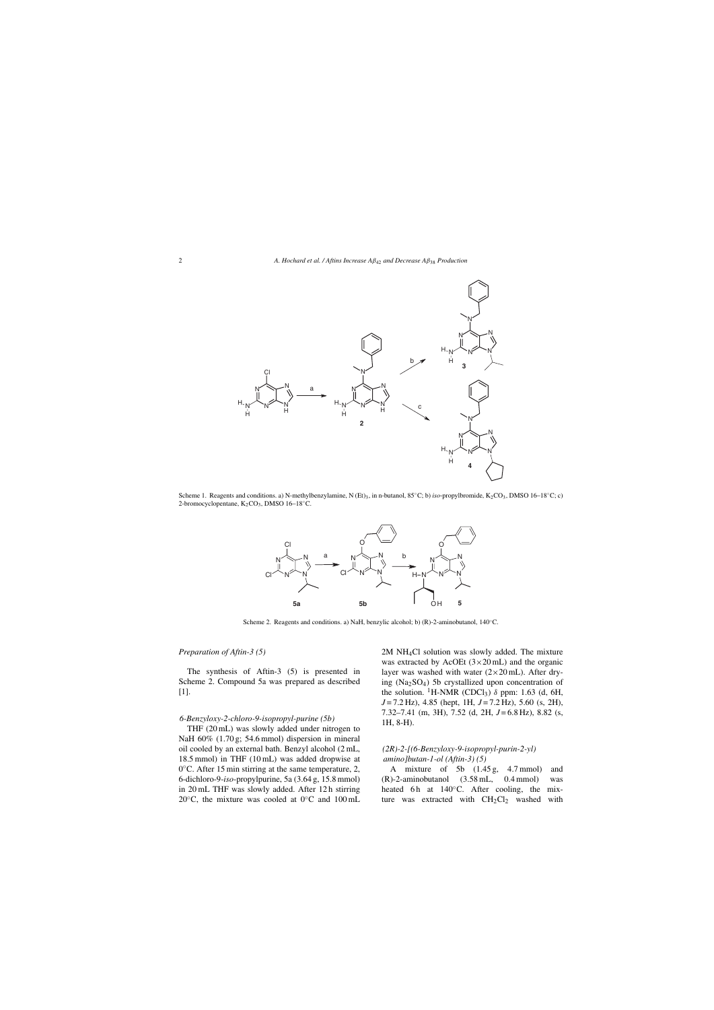

Scheme 1. Reagents and conditions. a) N-methylbenzylamine, N (Et)<sub>3</sub>, in n-butanol, 85℃; b) *iso*-propylbromide, K<sub>2</sub>CO<sub>3</sub>, DMSO 16–18℃; c) 2-bromocyclopentane, K<sub>2</sub>CO<sub>3</sub>, DMSO 16−18<sup>°</sup>C.



Scheme 2. Reagents and conditions. a) NaH, benzylic alcohol; b) (R)-2-aminobutanol, 140◦C.

## *Preparation of Aftin-3 (5)*

The synthesis of Aftin-3 (5) is presented in Scheme 2. Compound 5a was prepared as described [1].

### *6-Benzyloxy-2-chloro-9-isopropyl-purine (5b)*

THF (20 mL) was slowly added under nitrogen to NaH 60% (1.70 g; 54.6 mmol) dispersion in mineral oil cooled by an external bath. Benzyl alcohol (2 mL, 18.5 mmol) in THF (10 mL) was added dropwise at 0◦C. After 15 min stirring at the same temperature, 2, 6-dichloro-9-*iso*-propylpurine, 5a (3.64 g, 15.8 mmol) in 20 mL THF was slowly added. After 12 h stirring 20 $°C$ , the mixture was cooled at 0 $°C$  and 100 mL

2M NH4Cl solution was slowly added. The mixture was extracted by AcOEt  $(3 \times 20 \text{ mL})$  and the organic layer was washed with water  $(2\times20 \text{ mL})$ . After drying (Na2SO4) 5b crystallized upon concentration of the solution. <sup>1</sup>H-NMR (CDCl<sub>3</sub>)  $\delta$  ppm: 1.63 (d, 6H, *J* = 7.2 Hz), 4.85 (hept, 1H, *J* = 7.2 Hz), 5.60 (s, 2H), 7.32–7.41 (m, 3H), 7.52 (d, 2H, *J* = 6.8 Hz), 8.82 (s, 1H, 8-H).

## *(2R)-2-[(6-Benzyloxy-9-isopropyl-purin-2-yl) amino]butan-1-ol (Aftin-3) (5)*

A mixture of 5b (1.45 g, 4.7 mmol) and (R)-2-aminobutanol (3.58 mL, 0.4 mmol) was heated 6 h at  $140°C$ . After cooling, the mixture was extracted with  $CH<sub>2</sub>Cl<sub>2</sub>$  washed with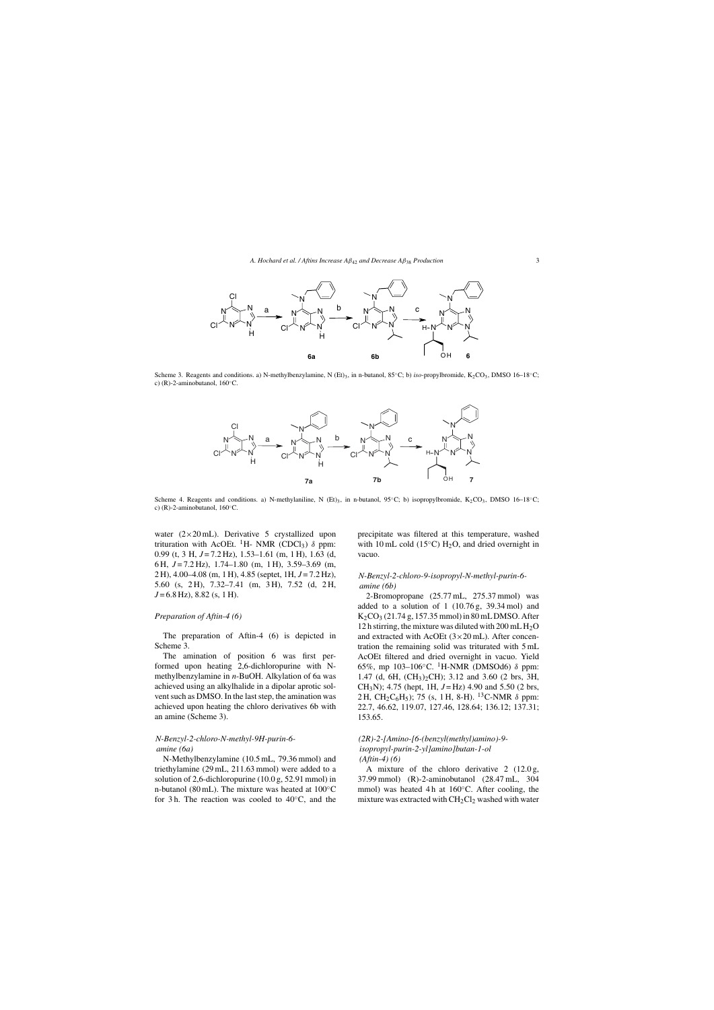

Scheme 3. Reagents and conditions. a) N-methylbenzylamine, N (Et)3, in n-butanol, 85◦C; b) *iso-*propylbromide, K2CO3, DMSO 16–18◦C; c) (R)-2-aminobutanol,  $160^{\circ}$ C.



Scheme 4. Reagents and conditions. a) N-methylaniline, N (Et)<sub>3</sub>, in n-butanol, 95℃; b) isopropylbromide, K<sub>2</sub>CO<sub>3</sub>, DMSO 16-18℃; c)  $(R)$ -2-aminobutanol, 160 $°C$ .

water  $(2 \times 20 \text{ mL})$ . Derivative 5 crystallized upon trituration with AcOEt. <sup>1</sup>H- NMR (CDCl<sub>3</sub>)  $\delta$  ppm: 0.99 (t, 3 H, *J* = 7.2 Hz), 1.53–1.61 (m, 1 H), 1.63 (d, 6 H, *J* = 7.2 Hz), 1.74–1.80 (m, 1 H), 3.59–3.69 (m, 2 H), 4.00–4.08 (m, 1 H), 4.85 (septet, 1H, *J* = 7.2 Hz), 5.60 (s, 2 H), 7.32–7.41 (m, 3 H), 7.52 (d, 2 H, *J* = 6.8 Hz), 8.82 (s, 1 H).

## *Preparation of Aftin-4 (6)*

The preparation of Aftin-4 (6) is depicted in Scheme 3.

The amination of position 6 was first performed upon heating 2,6-dichloropurine with Nmethylbenzylamine in *n*-BuOH. Alkylation of 6a was achieved using an alkylhalide in a dipolar aprotic solvent such as DMSO. In the last step, the amination was achieved upon heating the chloro derivatives 6b with an amine (Scheme 3).

## *N-Benzyl-2-chloro-N-methyl-9H-purin-6 amine (6a)*

N-Methylbenzylamine (10.5 mL, 79.36 mmol) and triethylamine (29 mL, 211.63 mmol) were added to a solution of 2,6-dichloropurine (10.0 g, 52.91 mmol) in n-butanol (80 mL). The mixture was heated at 100◦C for 3 h. The reaction was cooled to  $40°C$ , and the

precipitate was filtered at this temperature, washed with 10 mL cold (15 $\degree$ C) H<sub>2</sub>O, and dried overnight in vacuo.

## *N-Benzyl-2-chloro-9-isopropyl-N-methyl-purin-6 amine (6b)*

2-Bromopropane (25.77 mL, 275.37 mmol) was added to a solution of  $1(10.76 \text{ g}, 39.34 \text{ mol})$  and  $K_2CO_3$  (21.74 g, 157.35 mmol) in 80 mL DMSO. After 12 h stirring, the mixture was diluted with  $200 \text{ mL H}_2\text{O}$ and extracted with AcOEt  $(3 \times 20 \text{ mL})$ . After concentration the remaining solid was triturated with 5 mL AcOEt filtered and dried overnight in vacuo. Yield 65%, mp 103–106 $°C$ . <sup>1</sup>H-NMR (DMSOd6)  $\delta$  ppm: 1.47 (d, 6H, (CH3)2CH); 3.12 and 3.60 (2 brs, 3H, CH<sub>3</sub>N); 4.75 (hept, 1H,  $J = Hz$ ) 4.90 and 5.50 (2 brs, 2 H, CH<sub>2</sub>C<sub>6</sub>H<sub>5</sub>); 75 (s, 1 H, 8-H). <sup>13</sup>C-NMR  $\delta$  ppm: 22.7, 46.62, 119.07, 127.46, 128.64; 136.12; 137.31; 153.65.

## *(2R)-2-[Amino-[6-(benzyl(methyl)amino)-9 isopropyl-purin-2-yl]amino]butan-1-ol (Aftin-4) (6)*

A mixture of the chloro derivative 2 (12.0 g, 37.99 mmol) (R)-2-aminobutanol (28.47 mL, 304 mmol) was heated 4 h at 160<sup>°</sup>C. After cooling, the mixture was extracted with  $CH<sub>2</sub>Cl<sub>2</sub>$  washed with water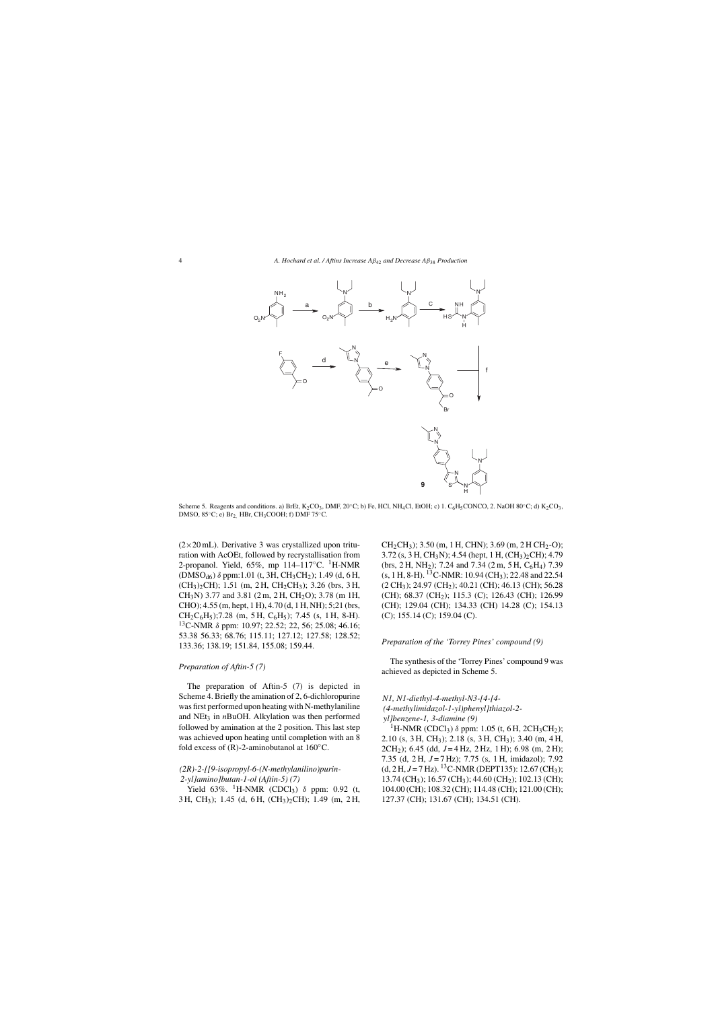

Scheme 5. Reagents and conditions. a) BrEt,  $K_2CO_3$ , DMF, 20 $°C$ ; b) Fe, HCl, NH<sub>4</sub>Cl, EtOH; c) 1. C<sub>6</sub>H<sub>5</sub>CONCO, 2. NaOH 80 $°C$ ; d)  $K_2CO_3$ , DMSO,  $85^{\circ}$ C; e) Br<sub>2,</sub> HBr, CH<sub>3</sub>COOH; f) DMF 75 $^{\circ}$ C.

 $(2\times20$  mL). Derivative 3 was crystallized upon trituration with AcOEt, followed by recrystallisation from 2-propanol. Yield,  $65\%$ , mp  $114-117\degree$ C. <sup>1</sup>H-NMR (DMSO<sub>d6</sub>) δ ppm:1.01 (t, 3H, CH<sub>3</sub>CH<sub>2</sub>); 1.49 (d, 6 H, (CH3)2CH); 1.51 (m, 2 H, CH2CH3); 3.26 (brs, 3 H,  $CH<sub>3</sub>N$ ) 3.77 and 3.81 (2 m, 2 H, CH<sub>2</sub>O); 3.78 (m 1H, CHO); 4.55 (m, hept, 1 H), 4.70 (d, 1 H, NH); 5;21 (brs,  $CH_2C_6H_5$ ; 7.28 (m, 5 H,  $C_6H_5$ ); 7.45 (s, 1 H, 8-H). 13C-NMR δ ppm: 10.97; 22.52; 22, 56; 25.08; 46.16; 53.38 56.33; 68.76; 115.11; 127.12; 127.58; 128.52; 133.36; 138.19; 151.84, 155.08; 159.44.

## *Preparation of Aftin-5 (7)*

The preparation of Aftin-5 (7) is depicted in Scheme 4. Briefly the amination of 2, 6-dichloropurine was first performed upon heating with N-methylaniline and NEt<sub>3</sub> in *n*BuOH. Alkylation was then performed followed by amination at the 2 position. This last step was achieved upon heating until completion with an 8 fold excess of  $(R)$ -2-aminobutanol at 160 $°C$ .

## *(2R)-2-[[9-isopropyl-6-(N-methylanilino)purin-2-yl]amino]butan-1-ol (Aftin-5) (7)*

Yield 63%. <sup>1</sup>H-NMR (CDCl<sub>3</sub>)  $\delta$  ppm: 0.92 (t, 3 H, CH3); 1.45 (d, 6 H, (CH3)2CH); 1.49 (m, 2 H,  $CH<sub>2</sub>CH<sub>3</sub>$ ; 3.50 (m, 1 H, CHN); 3.69 (m, 2 H CH<sub>2</sub>-O);  $3.72$  (s, 3 H, CH<sub>3</sub>N); 4.54 (hept, 1 H, (CH<sub>3</sub>)<sub>2</sub>CH); 4.79 (brs, 2 H, NH<sub>2</sub>); 7.24 and 7.34 (2 m, 5 H, C<sub>6</sub>H<sub>4</sub>) 7.39  $(s, 1 H, 8-H)$ . <sup>13</sup>C-NMR: 10.94 (CH<sub>3</sub>); 22.48 and 22.54  $(2 \text{ CH}_3)$ ; 24.97 (CH<sub>2</sub>); 40.21 (CH); 46.13 (CH); 56.28 (CH); 68.37 (CH<sub>2</sub>); 115.3 (C); 126.43 (CH); 126.99 (CH); 129.04 (CH); 134.33 (CH) 14.28 (C); 154.13 (C); 155.14 (C); 159.04 (C).

## *Preparation of the 'Torrey Pines' compound (9)*

The synthesis of the 'Torrey Pines' compound 9 was achieved as depicted in Scheme 5.

## *N1, N1-diethyl-4-methyl-N3-[4-[4- (4-methylimidazol-1-yl)phenyl]thiazol-2 yl]benzene-1, 3-diamine (9)*

<sup>1</sup>H-NMR (CDCl<sub>3</sub>) δ ppm: 1.05 (t, 6 H, 2CH<sub>3</sub>CH<sub>2</sub>); 2.10 (s, 3 H, CH3); 2.18 (s, 3 H, CH3); 3.40 (m, 4 H, 2CH2); 6.45 (dd, *J* = 4 Hz, 2 Hz, 1 H); 6.98 (m, 2 H); 7.35 (d, 2 H, *J* = 7 Hz); 7.75 (s, 1 H, imidazol); 7.92  $(d, 2 H, J = 7 Hz).$  <sup>13</sup>C-NMR (DEPT135): 12.67 (CH<sub>3</sub>); 13.74 (CH<sub>3</sub>); 16.57 (CH<sub>3</sub>); 44.60 (CH<sub>2</sub>); 102.13 (CH); 104.00 (CH); 108.32 (CH); 114.48 (CH); 121.00 (CH); 127.37 (CH); 131.67 (CH); 134.51 (CH).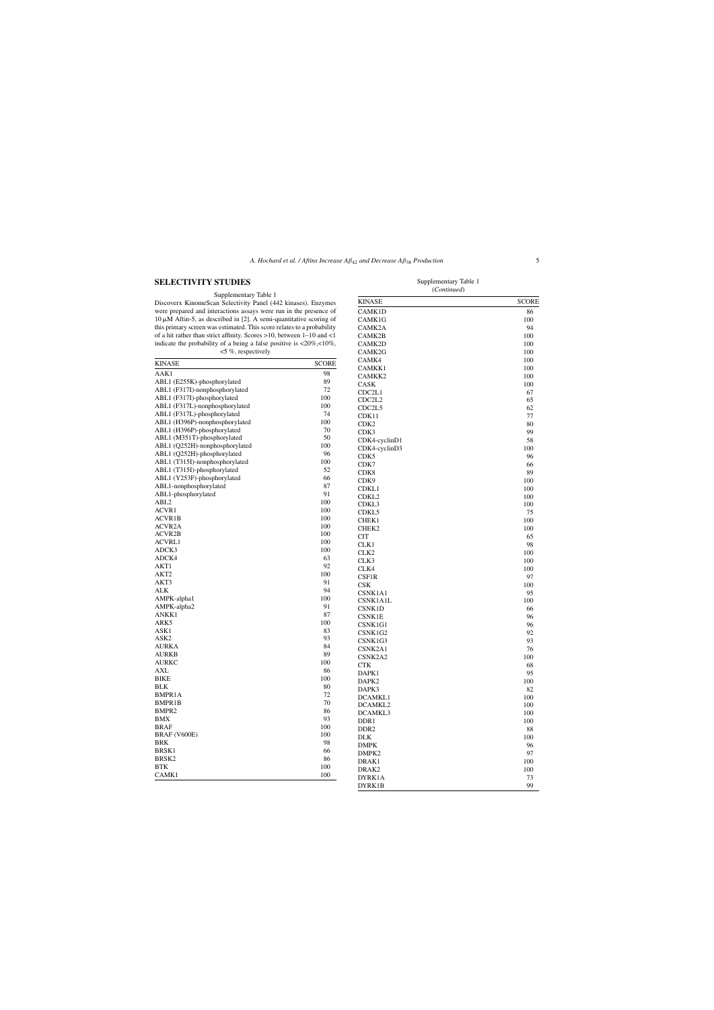## **SELECTIVITY STUDIES**

#### Supplementary Table 1

Discoverx KinomeScan Selectivity Panel (442 kinases). Enzymes were prepared and interactions assays were run in the presence of  $10 \mu M$  Aftin-5, as described in [2]. A semi-quantitative scoring of this primary screen was estimated. This score relates to a probability of a hit rather than strict affinity. Scores >10, between  $1-10$  and <1 indicate the probability of a being a false positive is  $\langle 20\%, 10\%,$  $<$  5%, respectively

| <b>KINASE</b>                  | <b>SCORE</b> | CAMK4              |  |
|--------------------------------|--------------|--------------------|--|
| AAK1                           | 98           | CAMKK1             |  |
| ABL1 (E255K)-phosphorylated    | 89           | CAMKK2             |  |
| ABL1 (F317I)-nonphosphorylated | 72           | CASK               |  |
| ABL1 (F317I)-phosphorylated    | 100          | CDC <sub>2L1</sub> |  |
|                                | 100          | CDC2L2             |  |
| ABL1 (F317L)-nonphosphorylated |              | CDC <sub>2L5</sub> |  |
| ABL1 (F317L)-phosphorylated    | 74           | CDK11              |  |
| ABL1 (H396P)-nonphosphorylated | 100          | CDK <sub>2</sub>   |  |
| ABL1 (H396P)-phosphorylated    | 70           | CDK3               |  |
| ABL1 (M351T)-phosphorylated    | 50           | CDK4-cyclinD1      |  |
| ABL1 (Q252H)-nonphosphorylated | 100          | CDK4-cyclinD3      |  |
| ABL1 (Q252H)-phosphorylated    | 96           | CDK5               |  |
| ABL1 (T315I)-nonphosphorylated | 100          | CDK7               |  |
| ABL1 (T315I)-phosphorylated    | 52           | CDK8               |  |
| ABL1 (Y253F)-phosphorylated    | 66           | CDK <sub>9</sub>   |  |
| ABL1-nonphosphorylated         | 87           | CDKL1              |  |
| ABL1-phosphorylated            | 91           | CDKL <sub>2</sub>  |  |
| ABL <sub>2</sub>               | 100          | CDKL3              |  |
| ACVR1                          | 100          | CDKL5              |  |
| <b>ACVR1B</b>                  | 100          | CHEK1              |  |
| ACVR <sub>2</sub> A            | 100          | CHEK2              |  |
| ACVR2B                         | 100          | <b>CIT</b>         |  |
| <b>ACVRL1</b>                  | 100          | CLK1               |  |
| ADCK3                          | 100          | CLK <sub>2</sub>   |  |
| ADCK4                          | 63           | CLK3               |  |
| AKT1                           | 92           | CLK4               |  |
| AKT <sub>2</sub>               | 100          | CSF1R              |  |
| AKT3                           | 91           | CSK                |  |
| <b>ALK</b>                     | 94           | CSNK1A1            |  |
| AMPK-alpha1                    | 100          |                    |  |
| AMPK-alpha2                    | 91           | CSNK1A1L           |  |
| ANKK1                          | 87           | CSNK1D             |  |
| ARK5                           | 100          | <b>CSNK1E</b>      |  |
| ASK1                           | 83           | CSNK1G1            |  |
| ASK <sub>2</sub>               | 93           | CSNK1G2            |  |
| <b>AURKA</b>                   | 84           | CSNK1G3            |  |
| <b>AURKB</b>                   | 89           | CSNK2A1            |  |
| <b>AURKC</b>                   | 100          | CSNK2A2            |  |
| AXL                            | 86           | <b>CTK</b>         |  |
| <b>BIKE</b>                    | 100          | DAPK1              |  |
| <b>BLK</b>                     | 80           | DAPK2              |  |
| BMPR1A                         | 72           | DAPK3              |  |
| BMPR1B                         | 70           | DCAMKL1            |  |
| BMPR <sub>2</sub>              | 86           | DCAMKL2            |  |
|                                | 93           | DCAMKL3            |  |
| BMX                            |              | DDR <sub>1</sub>   |  |
| <b>BRAF</b>                    | 100          | DDR <sub>2</sub>   |  |
| BRAF (V600E)                   | 100          | <b>DLK</b>         |  |
| BRK                            | 98           | <b>DMPK</b>        |  |
| BRSK1                          | 66           | DMPK2              |  |
| BRSK <sub>2</sub>              | 86           | DRAK1              |  |
| <b>BTK</b>                     | 100          | DRAK2              |  |
| CAMK1                          | 100          | DYRK1A             |  |
|                                |              | DYRK1B             |  |

| Supplementary Table 1<br>(Continued) |              |  |  |
|--------------------------------------|--------------|--|--|
| <b>KINASE</b>                        | <b>SCORE</b> |  |  |
| CAMK <sub>1</sub> D                  | 86           |  |  |
| CAMK1G                               | 100          |  |  |
| CAMK2A                               | 94           |  |  |
| CAMK2B                               | 100          |  |  |
| $C$ A MIZOD                          | 100          |  |  |

| <b>UTLAND</b>      | ncoin |
|--------------------|-------|
| CAMK1D             | 86    |
| CAMK1G             | 100   |
| CAMK2A             | 94    |
| CAMK2B             | 100   |
| CAMK2D             | 100   |
| CAMK2G             | 100   |
| CAMK4              | 100   |
| CAMKK1             | 100   |
| CAMKK2             | 100   |
| CASK               | 100   |
| CDC2L1             | 67    |
| CDC2L2             | 65    |
| CDC <sub>2L5</sub> | 62    |
| CDK11              | 77    |
| CDK <sub>2</sub>   | 80    |
|                    |       |
| CDK3               | 99    |
| CDK4-cyclinD1      | 58    |
| CDK4-cyclinD3      | 100   |
| CDK5               | 96    |
| CDK7               | 66    |
| CDK8               | 89    |
| CDK9               | 100   |
| CDKL1              | 100   |
| CDKL <sub>2</sub>  | 100   |
| CDKL3              | 100   |
| CDKL5              | 75    |
| CHEK1              | 100   |
| CHEK2              | 100   |
| CIT                | 65    |
| CLK1               | 98    |
| CLK <sub>2</sub>   | 100   |
| CLK3               | 100   |
| CLK4               | 100   |
| CSF1R              | 97    |
| CSK                | 100   |
| CSNK1A1            | 95    |
| CSNK1A1L           | 100   |
| CSNK1D             | 66    |
| <b>CSNK1E</b>      | 96    |
| CSNK1G1            | 96    |
| CSNK1G2            | 92    |
| CSNK1G3            | 93    |
| CSNK2A1            | 76    |
| CSNK2A2            | 100   |
| <b>CTK</b>         | 68    |
| DAPK1              | 95    |
| DAPK2              | 100   |
| DAPK3              | 82    |
| DCAMKL1            | 100   |
| DCAMKL2            |       |
|                    | 100   |
| DCAMKL3            | 100   |
| DDR <sub>1</sub>   | 100   |
| DDR <sub>2</sub>   | 88    |
| <b>DLK</b>         | 100   |
| <b>DMPK</b>        | 96    |
| DMPK2              | 97    |
| DRAK1              | 100   |
| DRAK2              | 100   |
| DYRK1A             | 73    |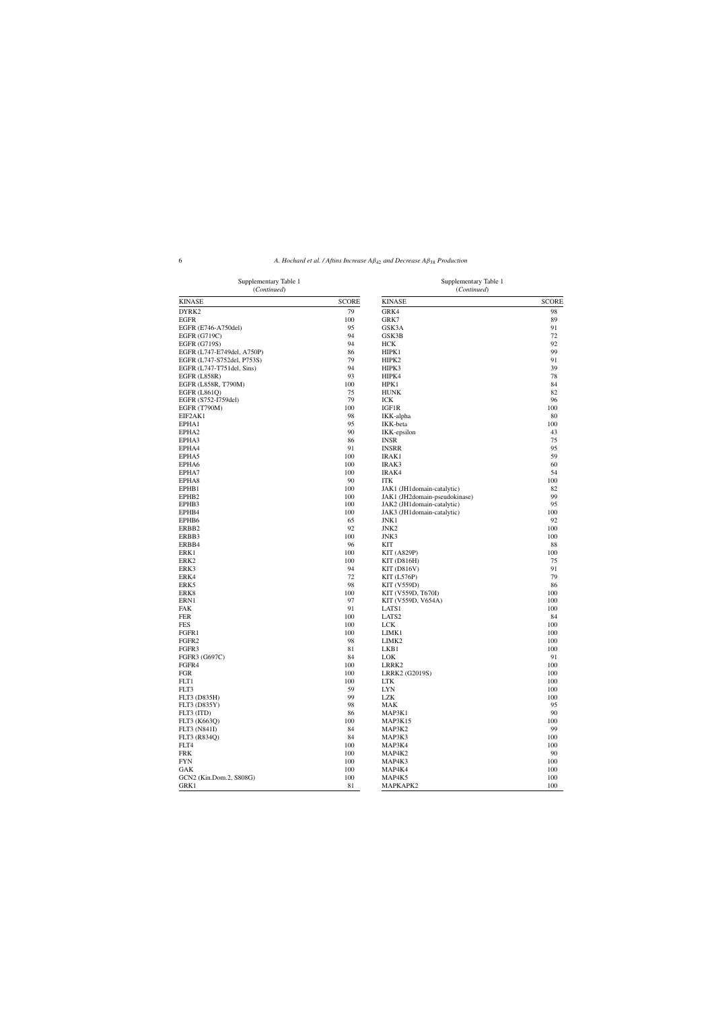| Supplementary Table 1<br>(Continued) |              | Supplementary Table 1<br>(Continued) |              |
|--------------------------------------|--------------|--------------------------------------|--------------|
| <b>KINASE</b>                        | <b>SCORE</b> | <b>KINASE</b>                        | <b>SCORE</b> |
| DYRK2                                | 79           | GRK4                                 | 98           |
| <b>EGFR</b>                          | 100          | GRK7                                 | 89           |
| EGFR (E746-A750del)                  | 95           | GSK3A                                | 91           |
| EGFR (G719C)                         | 94           | GSK3B                                | 72           |
| <b>EGFR (G719S)</b>                  | 94           | HCK                                  | 92           |
| EGFR (L747-E749del, A750P)           | 86           | HIPK1                                | 99           |
| EGFR (L747-S752del, P753S)           | 79           | HIPK2                                | 91           |
| EGFR (L747-T751del, Sins)            | 94           | HIPK3                                | 39           |
| <b>EGFR (L858R)</b>                  | 93           | HIPK4                                | 78           |
| EGFR (L858R, T790M)                  | 100          | HPK1                                 | 84           |
| <b>EGFR (L861Q)</b>                  | 75           | <b>HUNK</b>                          | 82           |
| EGFR (S752-I759del)                  | 79           | ICK                                  | 96           |
| <b>EGFR (T790M)</b>                  | 100          | IGF1R                                | 100          |
| EIF2AK1                              | 98           | IKK-alpha                            | 80           |
| EPHA1                                | 95           | IKK-beta                             | 100          |
| EPHA <sub>2</sub>                    | 90           | IKK-epsilon                          | 43           |
| EPHA3                                | 86           | <b>INSR</b>                          | 75           |
| EPHA4                                | 91           | <b>INSRR</b>                         | 95           |
| EPHA5                                | 100          | <b>IRAK1</b>                         | 59           |
| EPHA6                                | 100          | IRAK3                                | 60           |
| EPHA7                                | 100          | IRAK4                                | 54           |
| EPHA8                                | 90           | <b>ITK</b>                           | 100          |
| EPHB1                                | 100          | JAK1 (JH1domain-catalytic)           | 82           |
| EPHB <sub>2</sub>                    | 100          | JAK1 (JH2domain-pseudokinase)        | 99           |
| EPHB3                                | 100          | JAK2 (JH1domain-catalytic)           | 95           |
| EPHB4                                | 100          | JAK3 (JH1domain-catalytic)           | 100          |
| EPHB6                                | 65           | JNK1                                 | 92           |
| ERBB <sub>2</sub>                    | 92           | JNK <sub>2</sub>                     | 100          |
| ERBB3                                | 100          | JNK3                                 | 100          |
| ERBB4                                | 96           | KIT                                  | 88           |
| ERK1                                 | 100          | KIT(A829P)                           | 100          |
| ERK <sub>2</sub>                     | 100          | $KIT$ (D816H)                        | 75           |
| ERK3                                 | 94           | KIT(D816V)                           | 91           |
| ERK4                                 | 72           | KIT(L576P)                           | 79           |
| ERK5                                 | 98           | <b>KIT (V559D)</b>                   | 86           |
| ERK8                                 | 100          | KIT (V559D, T670I)                   | 100          |
| ERN1                                 | 97           | KIT (V559D, V654A)                   | 100          |
| FAK                                  | 91           | LATS1                                | 100          |
| <b>FER</b>                           | 100          | LATS <sub>2</sub>                    | 84           |
| <b>FES</b>                           | 100          | <b>LCK</b>                           | 100          |
| FGFR1                                | 100          | LIMK <sub>1</sub>                    | 100          |
| FGFR <sub>2</sub>                    | 98           | LIMK <sub>2</sub>                    | 100          |
| FGFR3                                | 81           | LKB1                                 | 100          |
| FGFR3 (G697C)                        | 84           | <b>LOK</b>                           | 91           |
| FGFR4                                | 100          | LRRK2                                | 100          |
| <b>FGR</b>                           | 100          | LRRK2 (G2019S)                       | 100          |
| FLT1                                 | 100          | LTK                                  | 100          |
| FLT3                                 | 59           | <b>LYN</b>                           | 100          |
| FLT3 (D835H)                         | 99           | LZK                                  | 100          |
| FLT3 (D835Y)                         | 98           | MAK                                  | 95           |
| FLT3 (ITD)                           | 86           | MAP3K1                               | 90           |
| FLT3 (K663Q)                         | 100          | MAP3K15                              | 100          |
| <b>FLT3 (N841I)</b>                  | 84           | MAP3K2                               | 99           |
| FLT3 (R834O)                         | 84           | MAP3K3                               | 100          |
| FLT4                                 | 100          | MAP3K4                               | 100          |
| <b>FRK</b>                           | 100          | MAP4K2                               | 90           |
| <b>FYN</b>                           | 100          | MAP4K3                               | 100          |
| GAK                                  | 100          | MAP4K4                               | 100          |
| GCN2 (Kin.Dom.2, S808G)              | 100          | MAP4K5                               | 100          |
| GRK1                                 | 81           | MAPKAPK2                             | 100          |

Supplementary Table 1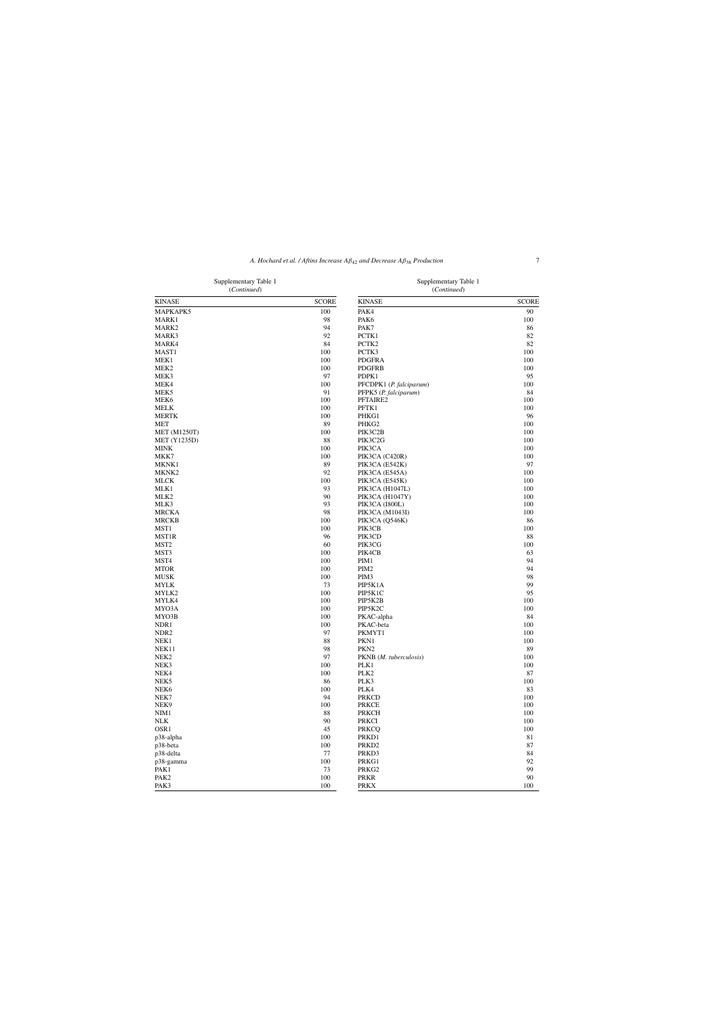Supplementary Table 1 (*Continued*)

Supplementary Table 1 (*Continued*)

| <b>KINASE</b>            | <b>SCORE</b> | <b>KINASE</b>           | <b>SCORE</b> |
|--------------------------|--------------|-------------------------|--------------|
| MAPKAPK5                 | 100          | PAK4                    | 90           |
| MARK1                    | 98           | PAK <sub>6</sub>        | 100          |
| MARK2                    | 94           | PAK7                    | 86           |
| MARK3                    | 92           | PCTK1                   | 82           |
| MARK4                    | 84           | PCTK2                   | 82           |
| MAST1                    | 100          | PCTK3                   | 100          |
| MEK1                     | 100          | <b>PDGFRA</b>           | 100          |
| MEK2                     | 100          | <b>PDGFRB</b>           | 100          |
| MEK3                     | 97           | PDPK1                   | 95           |
| MEK4                     | 100          | PFCDPK1 (P. falciparum) | 100          |
| MEK5                     | 91           | PFPK5 (P. falciparum)   | 84           |
| MEK <sub>6</sub>         | 100          | PFTAIRE2                | 100          |
| <b>MELK</b>              | 100          | PFTK1                   | 100          |
| <b>MERTK</b>             | 100          | PHKG1                   | 96           |
| <b>MET</b>               | 89           | PHKG2                   | 100          |
| <b>MET</b> (M1250T)      | 100          | PIK3C2B                 | 100          |
| <b>MET</b> (Y1235D)      | 88           | PIK3C2G                 | 100          |
| MINK                     | 100          | PIK3CA                  | 100          |
| MKK7                     | 100          | PIK3CA (C420R)          | 100          |
| <b>MKNK1</b>             | 89           | PIK3CA (E542K)          | 97           |
| MKNK <sub>2</sub>        | 92           | PIK3CA (E545A)          | 100          |
| MLCK                     | 100          | PIK3CA (E545K)          | 100          |
| MLK1                     | 93           | PIK3CA (H1047L)         | 100          |
| MLK <sub>2</sub>         | 90           | PIK3CA (H1047Y)         | 100          |
| MLK3                     | 93           | PIK3CA (I800L)          | 100          |
| <b>MRCKA</b>             | 98           | PIK3CA (M1043I)         | 100          |
| <b>MRCKB</b>             | 100          | PIK3CA (Q546K)          | 86           |
| MST <sub>1</sub>         | 100          | PIK3CB                  | 100          |
| MST1R                    | 96           | PIK3CD                  | 88           |
| MST <sub>2</sub><br>MST3 | 60<br>100    | PIK3CG                  | 100          |
| MST4                     | 100          | PIK4CB<br>PIM1          | 63<br>94     |
| <b>MTOR</b>              | 100          | PIM <sub>2</sub>        | 94           |
| MUSK                     | 100          | PIM <sub>3</sub>        | 98           |
| <b>MYLK</b>              | 73           | PIP5K1A                 | 99           |
| MYLK2                    | 100          | PIP5K1C                 | 95           |
| MYLK4                    | 100          | PIP5K2B                 | 100          |
| MYO3A                    | 100          | PIP5K2C                 | 100          |
| MYO3B                    | 100          | PKAC-alpha              | 84           |
| NDR1                     | 100          | PKAC-beta               | 100          |
| NDR <sub>2</sub>         | 97           | PKMYT1                  | 100          |
| NEK1                     | 88           | PKN1                    | 100          |
| NEK11                    | 98           | PKN <sub>2</sub>        | 89           |
| NEK <sub>2</sub>         | 97           | PKNB (M. tuberculosis)  | 100          |
| NEK3                     | 100          | PLK1                    | 100          |
| NEK4                     | 100          | PLK <sub>2</sub>        | 87           |
| NEK5                     | 86           | PLK3                    | 100          |
| NEK6                     | 100          | PLK4                    | 83           |
| NEK7                     | 94           | <b>PRKCD</b>            | 100          |
| NEK9                     | 100          | <b>PRKCE</b>            | 100          |
| NIM1                     | 88           | <b>PRKCH</b>            | 100          |
| NLK                      | 90           | <b>PRKCI</b>            | 100          |
| OSR1                     | 45           | <b>PRKCQ</b>            | 100          |
| p38-alpha                | 100          | PRKD1                   | 81           |
| p38-beta                 | 100          | PRKD <sub>2</sub>       | 87           |
| p38-delta                | 77           | PRKD3                   | 84           |
| p38-gamma                | 100          | PRKG1                   | 92           |
| PAK1                     | 73           | PRKG2                   | 99           |
| PAK <sub>2</sub>         | 100          | PRKR                    | 90           |
| PAK3                     | 100          | <b>PRKX</b>             | 100          |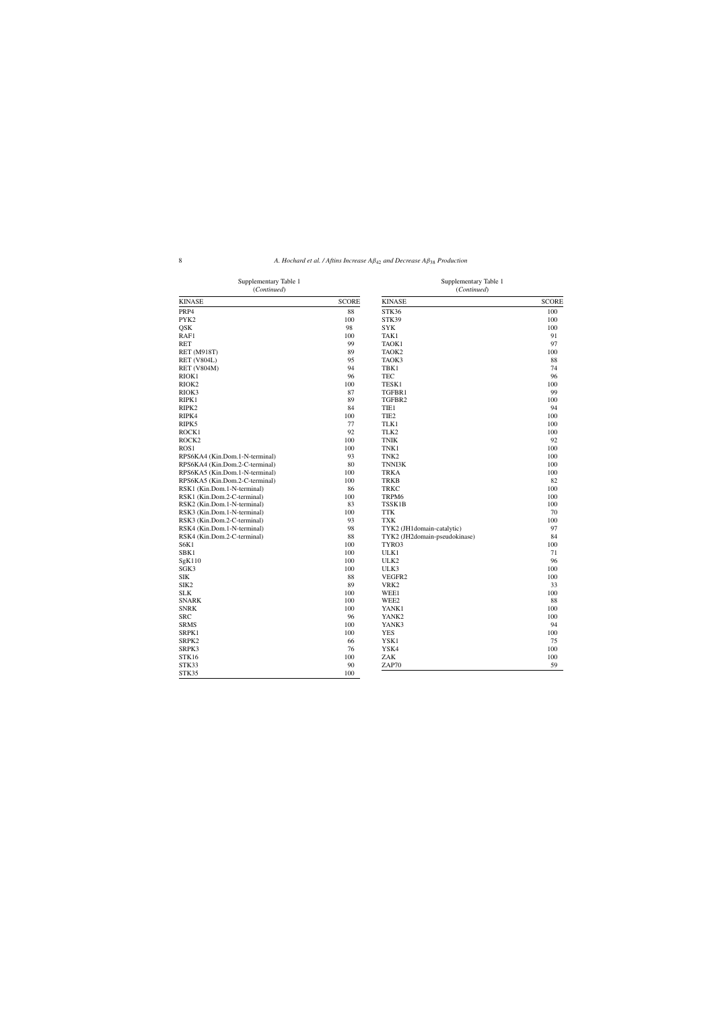| Supplementary Table 1<br>(Continued) |              | Supplementary Table 1<br>(Continued) |              |
|--------------------------------------|--------------|--------------------------------------|--------------|
| <b>KINASE</b>                        | <b>SCORE</b> | <b>KINASE</b>                        | <b>SCORE</b> |
| PRP4                                 | 88           | STK36                                | 100          |
| PYK2                                 | 100          | STK39                                | 100          |
| QSK                                  | 98           | <b>SYK</b>                           | 100          |
| RAF1                                 | 100          | TAK1                                 | 91           |
| RET                                  | 99           | TAOK1                                | 97           |
| <b>RET</b> (M918T)                   | 89           | TAOK <sub>2</sub>                    | 100          |
| <b>RET (V804L)</b>                   | 95           | TAOK3                                | 88           |
| <b>RET (V804M)</b>                   | 94           | TBK1                                 | 74           |
| RIOK1                                | 96           | TEC                                  | 96           |
| RIOK <sub>2</sub>                    | 100          | TESK1                                | 100          |
| RIOK3                                | 87           | TGFBR1                               | 99           |
| RIPK1                                | 89           | TGFBR2                               | 100          |
| RIPK2                                | 84           | TIE1                                 | 94           |
| RIPK4                                | 100          | TIE <sub>2</sub>                     | 100          |
| RIPK5                                | 77           | TLK1                                 | 100          |
| ROCK1                                | 92           | TLK <sub>2</sub>                     | 100          |
| ROCK2                                | 100          | <b>TNIK</b>                          | 92           |
| ROS <sub>1</sub>                     | 100          | TNK1                                 | 100          |
| RPS6KA4 (Kin.Dom.1-N-terminal)       | 93           | TNK <sub>2</sub>                     | 100          |
| RPS6KA4 (Kin.Dom.2-C-terminal)       | 80           | TNNI3K                               | 100          |
| RPS6KA5 (Kin.Dom.1-N-terminal)       | 100          | <b>TRKA</b>                          | 100          |
| RPS6KA5 (Kin.Dom.2-C-terminal)       | 100          | <b>TRKB</b>                          | 82           |
| RSK1 (Kin.Dom.1-N-terminal)          | 86           | <b>TRKC</b>                          | 100          |
| RSK1 (Kin.Dom.2-C-terminal)          | 100          | TRPM6                                | 100          |
| RSK2 (Kin.Dom.1-N-terminal)          | 83           | TSSK1B                               | 100          |
| RSK3 (Kin.Dom.1-N-terminal)          | 100          | <b>TTK</b>                           | 70           |
| RSK3 (Kin.Dom.2-C-terminal)          | 93           | <b>TXK</b>                           | 100          |
| RSK4 (Kin.Dom.1-N-terminal)          | 98           | TYK2 (JH1domain-catalytic)           | 97           |
| RSK4 (Kin.Dom.2-C-terminal)          | 88           | TYK2 (JH2domain-pseudokinase)        | 84           |
| S6K1                                 | 100          | TYRO3                                | 100          |
| SBK1                                 | 100          | ULK1                                 | 71           |
| SgK110                               | 100          | ULK <sub>2</sub>                     | 96           |
| SGK3                                 | 100          | ULK3                                 | 100          |
| SIK                                  | 88           | VEGFR2                               | 100          |
| SIK <sub>2</sub>                     | 89           | VRK <sub>2</sub>                     | 33           |
| <b>SLK</b>                           | 100          | WEE1                                 | 100          |
| <b>SNARK</b>                         | 100          | WEE <sub>2</sub>                     | 88           |
| <b>SNRK</b>                          | 100          | YANK1                                | 100          |
| SRC                                  | 96           | YANK <sub>2</sub>                    | 100          |
| <b>SRMS</b>                          | 100          | YANK3                                | 94           |
| SRPK1                                | 100          | <b>YES</b>                           | 100          |
| SRPK2                                | 66           | YSK1                                 | 75           |
| SRPK3                                | 76           | YSK4                                 | 100          |
| STK16                                | 100          | ZAK                                  | 100          |
| STK33                                | 90           | ZAP70                                | 59           |
| STK35                                | 100          |                                      |              |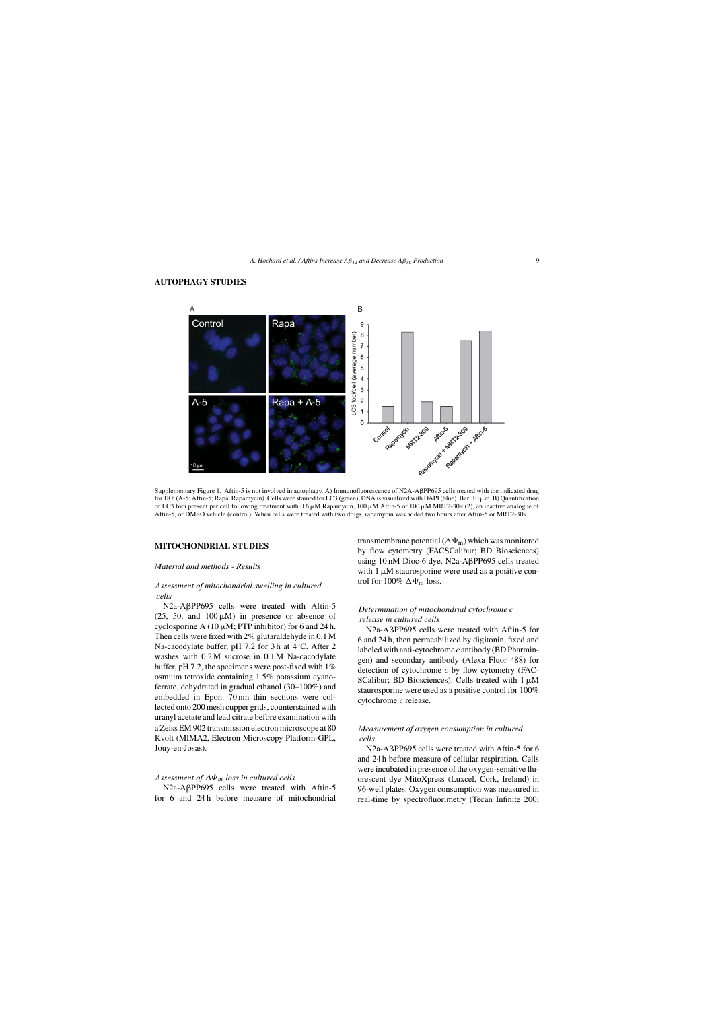## **AUTOPHAGY STUDIES**



Supplementary Figure 1. Aftin-5 is not involved in autophagy. A) Immunofluorescence of N2A-APP695 cells treated with the indicated drug for 18 h (A-5: Aftin-5; Rapa: Rapamycin). Cells were stained for LC3 (green), DNA is visualized with DAPI (blue). Bar: 10  $\mu$ m. B) Quantification of LC3 foci present per cell following treatment with  $0.6 \mu$ M Rapamycin, 100  $\mu$ M Aftin-5 or 100  $\mu$ M MRT2-309 (2), an inactive analogue of Aftin-5, or DMSO vehicle (control). When cells were treated with two drugs, rapamycin was added two hours after Aftin-5 or MRT2-309.

## **MITOCHONDRIAL STUDIES**

## *Material and methods - Results*

## *Assessment of mitochondrial swelling in cultured cells*

N2a-ABPP695 cells were treated with Aftin-5 (25, 50, and  $100 \mu M$ ) in presence or absence of cyclosporine A  $(10 \mu M; PTP \text{ inhibitor})$  for 6 and 24 h. Then cells were fixed with 2% glutaraldehyde in 0.1 M Na-cacodylate buffer, pH 7.2 for 3 h at 4◦C. After 2 washes with 0.2 M sucrose in 0.1 M Na-cacodylate buffer, pH 7.2, the specimens were post-fixed with 1% osmium tetroxide containing 1.5% potassium cyanoferrate, dehydrated in gradual ethanol (30–100%) and embedded in Epon. 70 nm thin sections were collected onto 200 mesh cupper grids, counterstained with uranyl acetate and lead citrate before examination with a Zeiss EM 902 transmission electron microscope at 80 Kvolt (MIMA2, Electron Microscopy Platform-GPL, Jouy-en-Josas).

## *Assessment of* ∆Ψm *loss in cultured cells*

N2a-APP695 cells were treated with Aftin-5 for 6 and 24 h before measure of mitochondrial

transmembrane potential  $(\Delta\Psi_m)$  which was monitored by flow cytometry (FACSCalibur; BD Biosciences) using 10 nM Dioc-6 dye. N2a-APP695 cells treated with  $1 \mu M$  staurosporine were used as a positive control for 100%  $\Delta\Psi_m$  loss.

## *Determination of mitochondrial cytochrome c release in cultured cells*

N2a-ABPP695 cells were treated with Aftin-5 for 6 and 24 h, then permeabilized by digitonin, fixed and labeled with anti-cytochrome *c* antibody (BD Pharmingen) and secondary antibody (Alexa Fluor 488) for detection of cytochrome *c* by flow cytometry (FAC-SCalibur; BD Biosciences). Cells treated with  $1 \mu M$ staurosporine were used as a positive control for 100% cytochrome *c* release.

## *Measurement of oxygen consumption in cultured cells*

N2a-ABPP695 cells were treated with Aftin-5 for 6 and 24 h before measure of cellular respiration. Cells were incubated in presence of the oxygen-sensitive fluorescent dye MitoXpress (Luxcel, Cork, Ireland) in 96-well plates. Oxygen consumption was measured in real-time by spectrofluorimetry (Tecan Infinite 200;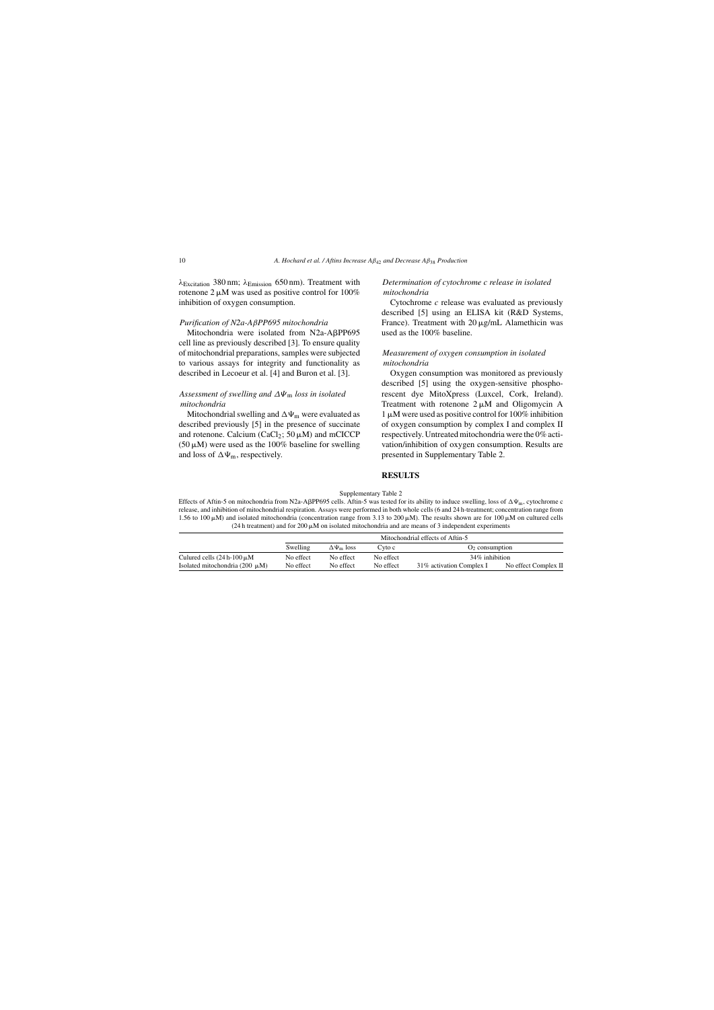λ<sub>Excitation</sub> 380 nm; λ<sub>Emission</sub> 650 nm). Treatment with rotenone  $2 \mu M$  was used as positive control for 100% inhibition of oxygen consumption.

## *Purification of N2a-A*β*PP695 mitochondria*

Mitochondria were isolated from N2a-A<sub>BPP695</sub> cell line as previously described [3]. To ensure quality of mitochondrial preparations, samples were subjected to various assays for integrity and functionality as described in Lecoeur et al. [4] and Buron et al. [3].

## *Assessment of swelling and* ∆Ψ<sup>m</sup> *loss in isolated mitochondria*

Mitochondrial swelling and  $\Delta\Psi_m$  were evaluated as described previously [5] in the presence of succinate and rotenone. Calcium (CaCl<sub>2</sub>;  $50 \mu M$ ) and mCICCP  $(50 \,\mu\text{M})$  were used as the 100% baseline for swelling and loss of  $\Delta\Psi_m$ , respectively.

## *Determination of cytochrome c release in isolated mitochondria*

Cytochrome *c* release was evaluated as previously described [5] using an ELISA kit (R&D Systems, France). Treatment with  $20 \mu g/mL$  Alamethicin was used as the 100% baseline.

## *Measurement of oxygen consumption in isolated mitochondria*

Oxygen consumption was monitored as previously described [5] using the oxygen-sensitive phosphorescent dye MitoXpress (Luxcel, Cork, Ireland). Treatment with rotenone  $2 \mu M$  and Oligomycin A  $1 \mu$ M were used as positive control for 100% inhibition of oxygen consumption by complex I and complex II respectively. Untreated mitochondria were the 0% activation/inhibition of oxygen consumption. Results are presented in Supplementary Table 2.

## **RESULTS**

| Supplementary Table 2 |  |
|-----------------------|--|
|                       |  |

Effects of Aftin-5 on mitochondria from N2a-AβPP695 cells. Aftin-5 was tested for its ability to induce swelling, loss of  $\Delta\Psi_m$ , cytochrome c release, and inhibition of mitochondrial respiration. Assays were performed in both whole cells (6 and 24 h-treatment; concentration range from 1.56 to 100  $\mu$ M) and isolated mitochondria (concentration range from 3.13 to 200  $\mu$ M). The results shown are for 100  $\mu$ M on cultured cells  $(24 h$  treatment) and for  $200 \mu M$  on isolated mitochondria and are means of 3 independent experiments

|                                     |           | Mitochondrial effects of Aftin-5 |           |                           |                      |
|-------------------------------------|-----------|----------------------------------|-----------|---------------------------|----------------------|
|                                     | Swelling  | $\Delta\Psi_{\rm m}$ loss        | Cyto c    | $O2$ consumption          |                      |
| Culured cells $(24 h-100 \mu M)$    | No effect | No effect                        | No effect | 34% inhibition            |                      |
| Isolated mitochondria (200 $\mu$ M) | No effect | No effect                        | No effect | 31\% activation Complex I | No effect Complex II |